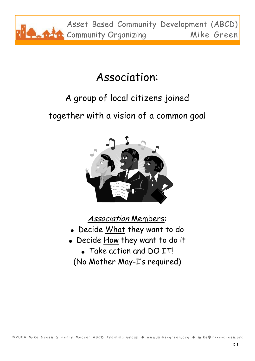

### Association:

#### A group of local citizens joined

together with a vision of a common goal



Association Members:

- Decide What they want to do
- Decide How they want to do it
	- Take action and DO IT!
	- (No Mother May-I's required)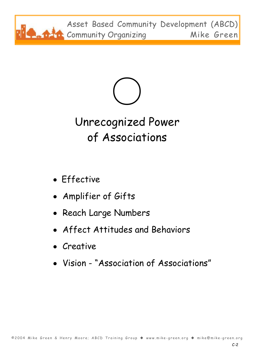



# Unrecognized Power of Associations

- Effective
- Amplifier of Gifts
- Reach Large Numbers
- Affect Attitudes and Behaviors
- Creative
- Vision "Association of Associations"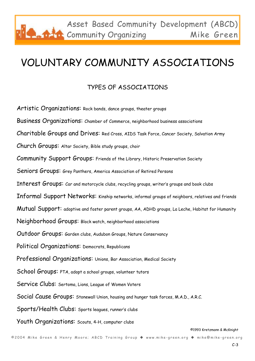### VOLUNTARY COMMUNITY ASSOCIATIONS

#### TYPES OF ASSOCIATIONS

Artistic Organizations: Rock bands, dance groups, theater groups Business Organizations: Chamber of Commerce, neighborhood business associations Charitable Groups and Drives: Red Cross, AIDS Task Force, Cancer Society, Salvation Army Church Groups: Altar Society, Bible study groups, choir Community Support Groups: Friends of the Library, Historic Preservation Society Seniors Groups: Grey Panthers, America Association of Retired Persons Interest Groups: Car and motorcycle clubs, recycling groups, writer's groups and book clubs Informal Support Networks: Kinship networks, informal groups of neighbors, relatives and friends Mutual Support: adoptive and foster parent groups, AA, ADHD groups, La Leche, Habitat for Humanity Neighborhood Groups: Block watch, neighborhood associations Outdoor Groups: Garden clubs, Audubon Groups, Nature Conservancy Political Organizations: Democrats, Republicans Professional Organizations: Unions, Bar Association, Medical Society School Groups: PTA, adopt a school groups, volunteer tutors Service Clubs: Sertoma, Lions, League of Women Voters Social Cause Groups: Stonewall Union, housing and hunger task forces, M.A.D., A.R.C. Sports/Health Clubs: Sports leagues, runner's clubs Youth Organizations: Scouts, 4-H, computer clubs

©1993 Kretzmann & McKnight